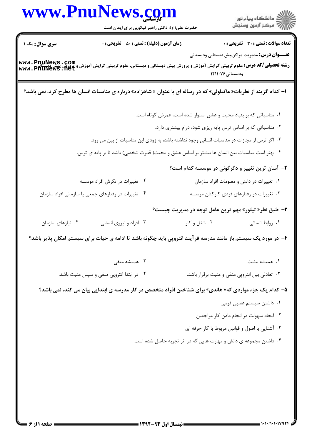|                        | www.PnuNews.com<br>حضرت علی(ع): دانش راهبر نیکویی برای ایمان است                                                                              |                                                                                                                                   | الا دانشگاه پيام نور<br>الا مرکز آزمون وسنجش          |
|------------------------|-----------------------------------------------------------------------------------------------------------------------------------------------|-----------------------------------------------------------------------------------------------------------------------------------|-------------------------------------------------------|
| <b>سری سوال :</b> یک ۱ | <b>زمان آزمون (دقیقه) : تستی : 50 ٪ تشریحی : 0</b>                                                                                            |                                                                                                                                   | <b>تعداد سوالات : تستی : 30 ٪ تشریحی : 0</b>          |
|                        | <b>رشته تحصیلی/کد درس:</b> علوم تربیتی گرایش آموزش و پرورش پیش دبستانی و دبستانی، علوم تربیتی گرایش آموزش و پرورش پیش<br>www . PfiuNews . net | ودبستانی ۱۲۱۱۰۷۶                                                                                                                  | <b>عنـــوان درس:</b> مدیریت مراکزپیش دبستانی ودبستانی |
|                        | ا– کدام گزینه از نظریات« ماکیاولی» که در رساله ای با عنوان « شاهزاده» درباره ی مناسبات انسان ها مطرح کرد، نمی باشد؟                           |                                                                                                                                   |                                                       |
|                        |                                                                                                                                               | ۰۱ مناسباتی که بر بنیاد محبت و عشق استوار شده است، عمرش کوتاه است.<br>۰۲ مناسباتی که بر اساس ترس پایه ریزی شود، درام بیشتری دارد. |                                                       |
|                        | ۰۳ اگر ترس از مجازات در مناسبات انسانی وجود نداشته باشد، به زودی این مناسبات از بین می رود.                                                   |                                                                                                                                   |                                                       |
|                        | ۰۴ بهتر است مناسبات بین انسان ها بیشتر بر اساس عشق و محبت( قدرت شخصی) باشد تا بر پایه ی ترس.                                                  |                                                                                                                                   |                                                       |
|                        |                                                                                                                                               |                                                                                                                                   | ۲– آسان ترین تغییر و دگرگونی در موسسه کدام است؟       |
|                        | ۲. تغییرات در نگرش افراد موسسه                                                                                                                |                                                                                                                                   | ۰۱ تغییرات در دانش و معلومات افراد سازمان             |
|                        | ۰۴ تغییرات در رفتارهای جمعی یا سازمانی افراد سازمان                                                                                           |                                                                                                                                   | ۰۳ تغییرات در رفتارهای فردی کارکنان موسسه             |
|                        |                                                                                                                                               |                                                                                                                                   | ۳- طبق نظر« تیلور» مهم ترین عامل توجه در مدیریت چیست؟ |
| ۰۴ نیازهای سازمان      | ۰۳ افراد و نیروی انسانی                                                                                                                       | ۰۲ شغل و کار                                                                                                                      | ٠١ روابط انساني                                       |
|                        | ۴– در مورد یک سیستم باز مانند مدرسه فرآیند انتروپی باید چگونه باشد تا ادامه ی حیات برای سیستم امکان پذیر باشد؟                                |                                                                                                                                   |                                                       |
|                        | ۰۲ همیشه منفی                                                                                                                                 |                                                                                                                                   | ۰۱ همیشه مثبت                                         |
|                        | ۰۴ در ابتدا انتروپی منفی و سپس مثبت باشد.                                                                                                     |                                                                                                                                   | ۰۳ تعادلی بین انتروپی منفی و مثبت برقرار باشد.        |
|                        | ۵– کدام یک جزء مواردی که« هاندی» برای شناختن افراد متخصص در کار مدرسه ی ابتدایی بیان می کند، نمی باشد؟                                        |                                                                                                                                   |                                                       |
|                        |                                                                                                                                               |                                                                                                                                   | ٠١. داشتن سيستم عصبي قومي                             |
|                        |                                                                                                                                               |                                                                                                                                   | ۰۲ ایجاد سهولت در انجام دادن کار مراجعین              |
|                        |                                                                                                                                               |                                                                                                                                   | ۰۳ آشنایی با اصول و قوانین مربوط با کار حرفه ای       |
|                        |                                                                                                                                               | ۰۴ داشتن مجموعه ی دانش و مهارت هایی که در اثر تجربه حاصل شده است.                                                                 |                                                       |
|                        |                                                                                                                                               |                                                                                                                                   |                                                       |
|                        |                                                                                                                                               |                                                                                                                                   |                                                       |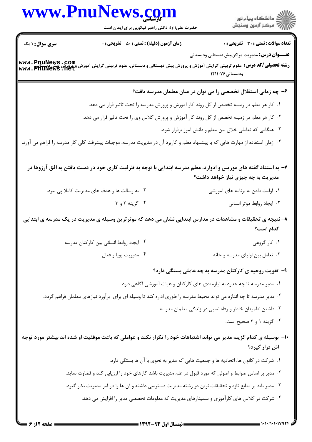## www.PnuNews.co

حضرت علی(ع): دانش راهبر نیکویی برای ایمان است

.<br>گ دانشگاه پیام نور أأزأت مركز آزمون وسنجش

**تعداد سوالات : تستي : 30 ٪ تشريحي : 0** 

**زمان آزمون (دقیقه) : تستی : 50 ٪ تشریحی: 0** 

**سری سوال : ۱ یک** 

**عنـــوان درس:** مدیریت مراکزپیش دبستانی ودبستانی

ر**شته تحصیلی/کد درس: ع**لوم تربیتی گرایش آموزش و پرورش پیش دبستانی و دبستانی، علوم تربیتی گرایش آموزش و پرورش پیش دبستانی<br>WWW . PnuNews . Net ودبستانی ۱۲۱۱۰۷۶

## ۶– چه زمانی استقلال تخصصی را می توان در میان معلمان مدرسه یافت؟

۰۱ کار هر معلم در زمینه تخصص از کل روند کار آموزش و پرورش مدرسه را تحت تاثیر قرار می دهد.

- ۰۲ کار هر معلم در زمینه تخصص از کل روند کار آموزش و پرورش کلاس وی را تحت تاثیر قرار می دهد.
	- ۰۳ هنگامی که تعاملی خلاق بین معلم و دانش آموز برقرار شود.

۰۴ زمان استفاده از مهارت هایی که با پیشنهاد معلم و کاربرد آن در مدیریت مدرسه، موجبات پیشرفت کلی کار مدرسه را فراهم می آورد.

۷– به استناد گفته های موریس و ادوارد، معلم مدرسه ابتدایی با توجه به ظرفیت کاری خود در دست یافتن به افق آرزوها در مدیریت به چه چیزی نیاز خواهد داشت؟

- ۰۱ اولیت دادن به برنامه های آموزشی ۰۲ به رسالت ها و هدف های مدیریت کاملا یی ببرد.
	- ۰۴ گڼنه ۲ و ۳ ۰۳ ایجاد روابط موثر انسانی

۸– نتیجه ی تحقیقات و مشاهدات در مدارس ابتدایی نشان می دهد که موثرترین وسیله ی مدیریت در یک مدرسه ی ابتدایی كدام است؟

- ۰۱ کار گروهی ۰۲ ایجاد روابط انسانی بین کارکنان مدرسه ۰۴ مديريت یویا و فعال ۰۳ تعامل بین اولیای مدرسه و خانه
	- ۹- تقویت روحیه ی کارکنان مدرسه به چه عاملی بستگی دارد؟
	- ۰۱ مدیر مدرسه تا چه حدود به نیازمندی های کارکنان و هیات آموزشی آگاهی دارد.
- ۲ . مدیر مدرسه تا چه اندازه می تواند محیط مدرسه را طوری اداره کند تا وسیله ای برای برآورد نیازهای معلمان فراهم گردد.
	- ۰۳ داشتن اطمینان خاطر و رفاه نسبی در زندگی معلمان مدرسه
		- ۰۴ گزینه ۱ و ۲ صحیح است.

۱۰– بوسیله ی کدام گزینه مدیر می تواند اشتباهات خود را تکرار نکند و عواملی که باعث موفقیت او شده اند بیشتر مورد توجه اش قرار گیرد؟

١. شركت در كانون ها، اتحاديه ها و جمعيت هايي كه مدير به نحوي با آن ها بستگي دارد.

- ۲ . مدیر بر اساس ضوابط و اصولی که مورد قبول در علم مدیریت باشد کارهای خود را ارزیابی کند و قضاوت نماید.
- ۰۳ مدیر باید بر منابع تازه و تحقیقات نوین در رشته مدیریت دسترسی داشته و آن ها را در امر مدیریت بکار گیرد.
	- ۰۴ شرکت در کلاس های کارآموزی و سمینارهای مدیریت که معلومات تخصصی مدیر را افزایش می دهد.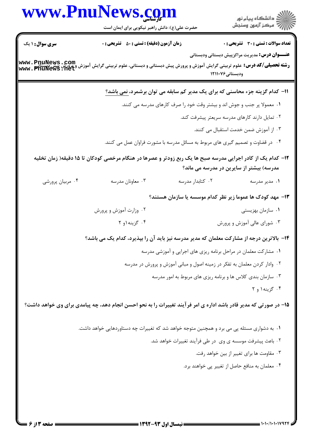|                        | www.PnuNews.com<br>حضرت علی(ع): دانش راهبر نیکویی برای ایمان است                                                                               |                  | ر دانشگاه پيام نور<br>دانشگاه پيام نور (سنڊش                              |
|------------------------|------------------------------------------------------------------------------------------------------------------------------------------------|------------------|---------------------------------------------------------------------------|
| <b>سری سوال : ۱ یک</b> | <b>زمان آزمون (دقیقه) : تستی : 50 ٪ تشریحی : 0</b>                                                                                             |                  | <b>تعداد سوالات : تستی : 30 ٪ تشریحی : 0</b>                              |
|                        | <b>رشته تحصیلی/کد درس:</b> علوم تربیتی گرایش آموزش و پرورش پیش دبستانی و دبستانی، علوم تربیتی گرایش آموزش و پرورش پیش د<br>www . PhuNews . Het | ودبستانی۱۲۱۱۰۷۶  | <b>عنـــوان درس:</b> مدیریت مراکزپیش دبستانی ودبستانی                     |
|                        | ۱۱- کدام گزینه جزء محاسنی که برای یک مدیر کم سابقه می توان برشمرد، <u>نمی</u> باشد؟                                                            |                  |                                                                           |
|                        |                                                                                                                                                |                  | ۰۱ معمولا پر جنب و جوش اند و بیشتر وقت خود را صرف کارهای مدرسه می کنند.   |
|                        |                                                                                                                                                |                  | ۰۲ تمایل دارند کارهای مدرسه سریعتر پیشرفت کند.                            |
|                        |                                                                                                                                                |                  | ۰۳ از آموزش ضمن خدمت استقبال می کنند.                                     |
|                        | ۰۴ در قضاوت و تصمیم گیری های مربوط به مسائل مدرسه با مشورت فراوان عمل می کنند.                                                                 |                  |                                                                           |
|                        | ۱۲– کدام یک از کادر اجرایی مدرسه صبح ها یک ربع زودتر و عصرها در هنگام مرخصی کودکان تا ۱۵ دقیقه( زمان تخلیه                                     |                  | مدرسه) بیشتر از سایرین در مدرسه می ماند؟                                  |
| ۰۴ مربیان پرورشی       | ۰۳ معاونان مدرسه                                                                                                                               | ۰۲ کتابدار مدرسه | ۰۱ مدیر مدرسه                                                             |
|                        |                                                                                                                                                |                  | ۱۳– مهد کودک ها عموما زیر نظر کدام موسسه یا سازمان هستند؟                 |
|                        | ۰۲ وزارت آموزش و پرورش                                                                                                                         |                  | ۰۱ سازمان بهزیستی                                                         |
|                        | ۰۴ گزینه۱و ۲                                                                                                                                   |                  | ۰۳ شورای عالی آموزش و پرورش                                               |
|                        | ۱۴- بالاترین درجه از مشارکت معلمان که مدیر مدرسه نیز باید آن را بپذیرد، کدام یک می باشد؟                                                       |                  |                                                                           |
|                        |                                                                                                                                                |                  | ۰۱ مشارکت معلمان در مراحل برنامه ریزی های اجرایی و آموزشی مدرسه           |
|                        |                                                                                                                                                |                  | ۰۲ وادار کردن معلمان به تفکر در زمینه اصول و مبانی آموزش و پرورش در مدرسه |
|                        |                                                                                                                                                |                  | ۰۳ سازمان بندی کلاس ها و برنامه ریزی های مربوط به امور مدرسه              |
|                        |                                                                                                                                                |                  | ۰۴ گزینه۱ و ۲                                                             |
|                        | 1۵– در صورتی که مدیر قادر باشد اداره ی امر فرآیند تغییرات را به نحو احسن انجام دهد، چه پیامدی برای وی خواهد داشت؟                              |                  |                                                                           |
|                        | ۰۱ به دشواری مسئله پی می برد و همچنین متوجه خواهد شد که تغییرات چه دستاوردهایی خواهد داشت.                                                     |                  |                                                                           |
|                        |                                                                                                                                                |                  | ۰۲ باعث پیشرفت موسسه ی وی در طی فرآیند تغییرات خواهد شد.                  |
|                        |                                                                                                                                                |                  | ٠٣ مقاومت ها براي تغيير از بين خواهد رفت.                                 |
|                        |                                                                                                                                                |                  | ۰۴ معلمان به منافع حاصل از تغییر پی خواهند برد.                           |
|                        |                                                                                                                                                |                  |                                                                           |
|                        |                                                                                                                                                |                  |                                                                           |
|                        |                                                                                                                                                |                  |                                                                           |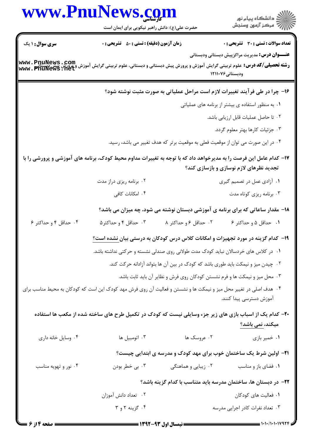|                        | www.PnuNews.com                                                                                                                                                                     |                       |                                                                                  |
|------------------------|-------------------------------------------------------------------------------------------------------------------------------------------------------------------------------------|-----------------------|----------------------------------------------------------------------------------|
|                        | حضرت علی(ع): دانش راهبر نیکویی برای ایمان است                                                                                                                                       |                       | ر دانشگاه پيام نور<br>د مرکز آزمون وسنجش                                         |
| <b>سری سوال : ۱ یک</b> | <b>زمان آزمون (دقیقه) : تستی : 50 ٪ تشریحی : 0</b>                                                                                                                                  |                       | <b>تعداد سوالات : تستی : 30 ٪ تشریحی : 0</b>                                     |
|                        | <b>www . PnuNews . Com</b><br>ر <b>شته تحصیلی/کد درس:</b> علوم تربیتی گرایش آموزش و پرورش پیش دبستانی و دبستانی، علوم تربیتی گرایش آموزش و پرورش پیش دیستانی<br>www . PnuNews . Net |                       | <b>عنـــوان درس:</b> مدیریت مراکزپیش دبستانی ودبستانی<br>ودبستانی ۱۲۱۱۰۷۶        |
|                        |                                                                                                                                                                                     |                       | ۱۶- چرا در طی فرآیند تغییرات لازم است مراحل عملیاتی به صورت مثبت نوشته شود؟      |
|                        |                                                                                                                                                                                     |                       | ۰۱ به منظور استفاده ی بیشتر از برنامه های عملیاتی                                |
|                        |                                                                                                                                                                                     |                       | ۰۲ تا حاصل عملیات قابل ارزیابی باشد.                                             |
|                        |                                                                                                                                                                                     |                       | ۰۳ جزئیات کارها بهتر معلوم گردد.                                                 |
|                        |                                                                                                                                                                                     |                       | ۰۴ در این صورت می توان از موقعیت فعلی به موقعیت برتر که هدف تغییر می باشد، رسید. |
|                        | ۱۷– کدام عامل این فرصت را به مدیرخواهد داد که با توجه به تغییرات مداوم محیط کودک، برنامه های آموزشی و پرورشی را با                                                                  |                       | تجدید نظرهای لازم نوسازی و بازسازی کند؟                                          |
|                        | ۰۲ برنامه ریزی دراز مدت                                                                                                                                                             |                       | ۰۱ آزادی عمل در تصمیم گیری                                                       |
|                        | ۰۴ امکانات کافی                                                                                                                                                                     |                       | ۰۳ برنامه ریزی کوتاه مدت                                                         |
|                        | ۱۸- مقدار ساعاتی که برای برنامه ی آموزشی دبستان نوشته می شود، چه میزان می باشد؟                                                                                                     |                       |                                                                                  |
| ۰۴ حداقل ۴ و حداکثر ۶  | ۰۳ حداقل ۴ و حداکثر۵                                                                                                                                                                | ۰۲ حداقل ۶ و حداکثر ۸ | ٠١ حداقل ۵ و حداكثر ۶                                                            |
|                        | ۱۹- کدام گزینه در مورد تجهیزات و امکانات کلاس درس کودکان به درستی بیان <u>نشده است؟</u>                                                                                             |                       |                                                                                  |
|                        | ۰۱ در کلاس های خردسالان نباید کودک مدت طولانی روی صندلی نشسته و حرکتی نداشته باشد.                                                                                                  |                       |                                                                                  |
|                        |                                                                                                                                                                                     |                       | ۰۲ چیدن میز و نیمکت باید طوری باشد که کودک در بین آن ها بتواند آزادانه حرکت کند. |
|                        |                                                                                                                                                                                     |                       | ۰۳ محل میز و نیمکت ها و فرم نشستن کودکان روی فرش و نظایر آن باید ثابت باشد.      |
|                        | ۰۴ هدف اصلی در تغییر محل میز و نیمکت ها و نشستن و فعالیت آن روی فرش مهد کودک این است که کودکان به محیط مناسب برای                                                                   |                       | آموزش دسترسی پیدا کنند.                                                          |
|                        | ۲۰- کدام یک از اسباب بازی های زیر جزء وسایلی نیست که کودک در تکمیل طرح های ساخته شده از مکعب ها استفاده                                                                             |                       |                                                                                  |
|                        |                                                                                                                                                                                     |                       | میکند، نمی باشد؟                                                                 |
| ۰۴ وسایل خانه داری     | ۰۳ اتومبيل ها                                                                                                                                                                       | ۰۲ عروسک ها           | ٠١ خمير بازي                                                                     |
|                        |                                                                                                                                                                                     |                       | <b>۲۱</b> - اولین شرط یک ساختمان خوب برای مهد کودک و مدرسه ی ابتدایی چیست؟       |
| ۰۴ نور و تهویه مناسب   | ۰۳ بي خطر بودن                                                                                                                                                                      | ۰۲ زیبایی و هماهنگی   | ٠١ فضاى باز و مناسب                                                              |
|                        |                                                                                                                                                                                     |                       | ۲۲– در دبستان ها، ساختمان مدرسه باید متناسب با کدام گزینه باشد؟                  |
|                        | ۰۲ تعداد دانش آموزان                                                                                                                                                                |                       | ۰۱ فعالیت های کودکان                                                             |
|                        | ۰۴ گزینه ۲ و ۳                                                                                                                                                                      |                       | ۰۳ تعداد نفرات کادر اجرایی مدرسه                                                 |
| <b>صفحه 14: 6</b>      | <b>1342-43 . 1.1 . 1. 14 . 1347</b>                                                                                                                                                 |                       |                                                                                  |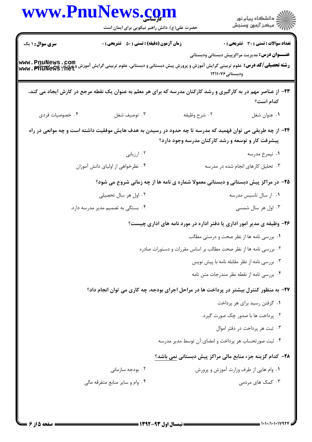| www.PnuNews.com        |                                                                                                                                                |                                                                        |                                                       |
|------------------------|------------------------------------------------------------------------------------------------------------------------------------------------|------------------------------------------------------------------------|-------------------------------------------------------|
|                        | حضرت علی(ع): دانش راهبر نیکویی برای ایمان است                                                                                                  |                                                                        |                                                       |
| <b>سری سوال : ۱ یک</b> | زمان آزمون (دقیقه) : تستی : ۵۰٪ تشریحی : ۰                                                                                                     |                                                                        | تعداد سوالات : تستى : 30 ٪ تشريحي : 0                 |
|                        | <b>رشته تحصیلی/کد درس:</b> علوم تربیتی گرایش آموزش و پرورش پیش دبستانی و دبستانی، علوم تربیتی گرایش آموزش و پرورش پیش د<br>Www . PhuNewS . Het | ودبستانی ۱۲۱۱۰۷۶                                                       | <b>عنـــوان درس:</b> مدیریت مراکزپیش دبستانی ودبستانی |
|                        | ۲۳- از عناصر مهم در به کارگیری و رشد کارکنان مدرسه که برای هر معلم به عنوان یک نقطه مرجع در کارش ایجاد می کند،                                 |                                                                        | كدام است؟                                             |
| ۰۴ خصوصیات فردی        | ۰۳ توصيف شغل                                                                                                                                   | ۰۲ شرح وظيفه                                                           | ٠١ عنوان شغل                                          |
|                        | ۲۴- از چه طریقی می توان فهمید که مدرسه تا چه حدود در رسیدن به هدف هایش موفقیت داشته است و چه موانعی در راه                                     | پیشرفت کار و توسعه و رشد کارکنان مدرسه وجود دارد؟                      |                                                       |
|                        | ۰۲ ارزیابی                                                                                                                                     |                                                                        | ۰۱ نیمرخ مدرسه                                        |
|                        | ۰۴ نظرخواهی از اولیای دانش آموزان                                                                                                              |                                                                        | ۰۳ تحلیل کارهای انجام شده در مدرسه                    |
|                        | ۲۵- در مراکز پیش دبستانی و دبستانی معمولا شماره ی نامه ها از چه زمانی شروع می شود؟                                                             |                                                                        |                                                       |
|                        | ۰۲ اول هر سال تحصیلی                                                                                                                           |                                                                        | ۰۱ از سال تاسیس مدرسه                                 |
|                        | ۰۴ بستگی به تصمیم مدیر مدرسه دارد.                                                                                                             |                                                                        | ۰۳ اول هر سال شمسی                                    |
|                        |                                                                                                                                                | ۲۶- وظیفه ی مدیر امور اداری یا دفتر اداره در مورد نامه های اداری چیست؟ |                                                       |
|                        |                                                                                                                                                |                                                                        | ۰۱ بررسی نامه ها از نظر صحت و درستی مطالب             |
|                        |                                                                                                                                                | ۰۲ بررسی نامه ها از نظر صحت مطالب بر اساس مقررات و دستورات صادره       |                                                       |
|                        |                                                                                                                                                |                                                                        | ۰۳ بررسی نامه از نظر مقابله نامه با پیش نویس          |
|                        |                                                                                                                                                |                                                                        | ۰۴ بررسی نامه از نقطه نظر مندرجات متن نامه            |
|                        | ۲۷- به منظور کنترل بیشتر در پرداخت ها در مراحل اجرای بودجه، چه کاری می توان انجام داد؟                                                         |                                                                        |                                                       |
|                        |                                                                                                                                                |                                                                        | ۰۱ گرفتن رسید برای هر پرداخت                          |
|                        |                                                                                                                                                |                                                                        | ۲. پرداخت ها با صدور چک صورت گیرد.                    |
|                        |                                                                                                                                                |                                                                        | ۰۳ ثبت هر پرداخت در دفتر اموال                        |
|                        |                                                                                                                                                | ۰۴ ثبت صورتحساب هر پرداخت و امضای آن توسط مدیر مدرسه                   |                                                       |
|                        |                                                                                                                                                | ۲۸- کدام گزینه جزء منابع مالی مراکز پیش دبستانی نمی باشد؟              |                                                       |
|                        | ۰۲ بودجه سازمانی                                                                                                                               |                                                                        | ۰۱ وام هایی از طرف وزارت آموزش و پرورش                |
|                        | ۰۴ وام و سایر منابع متفرقه مالی                                                                                                                |                                                                        | ۰۳ کمک های مردمی                                      |